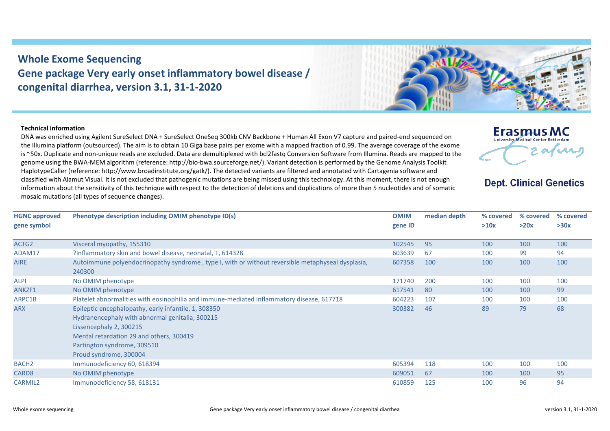## **Whole Exome Sequencing Gene package Very early onset inflammatory bowel disease / congenital diarrhea, version 3.1, 31-1-2020**

## **Technical information**

DNA was enriched using Agilent SureSelect DNA + SureSelect OneSeq 300kb CNV Backbone + Human All Exon V7 capture and paired-end sequenced on the Illumina platform (outsourced). The aim is to obtain 10 Giga base pairs per exome with a mapped fraction of 0.99. The average coverage of the exome is ~50x. Duplicate and non-unique reads are excluded. Data are demultiplexed with bcl2fastq Conversion Software from Illumina. Reads are mapped to the genome using the BWA-MEM algorithm (reference: http://bio-bwa.sourceforge.net/). Variant detection is performed by the Genome Analysis Toolkit HaplotypeCaller (reference: http://www.broadinstitute.org/gatk/). The detected variants are filtered and annotated with Cartagenia software and classified with Alamut Visual. It is not excluded that pathogenic mutations are being missed using this technology. At this moment, there is not enough information about the sensitivity of this technique with respect to the detection of deletions and duplications of more than 5 nucleotides and of somatic mosaic mutations (all types of sequence changes).

| <b>HGNC approved</b><br>gene symbol | Phenotype description including OMIM phenotype ID(s)                                                                                                                                                                                    | <b>OMIM</b><br>gene ID | median depth | % covered<br>>10x | % covered<br>>20x | % covered<br>>30x |
|-------------------------------------|-----------------------------------------------------------------------------------------------------------------------------------------------------------------------------------------------------------------------------------------|------------------------|--------------|-------------------|-------------------|-------------------|
| ACTG2                               | Visceral myopathy, 155310                                                                                                                                                                                                               | 102545                 | 95           | 100               | 100               | 100               |
| ADAM17                              | ?Inflammatory skin and bowel disease, neonatal, 1, 614328                                                                                                                                                                               | 603639                 | 67           | 100               | 99                | 94                |
| AIRE                                | Autoimmune polyendocrinopathy syndrome, type I, with or without reversible metaphyseal dysplasia,<br>240300                                                                                                                             | 607358                 | 100          | 100               | 100               | 100               |
| ALPI                                | No OMIM phenotype                                                                                                                                                                                                                       | 171740                 | 200          | 100               | 100               | 100               |
| ANKZF1                              | No OMIM phenotype                                                                                                                                                                                                                       | 617541                 | 80           | 100               | 100               | 99                |
| ARPC1B                              | Platelet abnormalities with eosinophilia and immune-mediated inflammatory disease, 617718                                                                                                                                               | 604223                 | 107          | 100               | 100               | 100               |
| <b>ARX</b>                          | Epileptic encephalopathy, early infantile, 1, 308350<br>Hydranencephaly with abnormal genitalia, 300215<br>Lissencephaly 2, 300215<br>Mental retardation 29 and others, 300419<br>Partington syndrome, 309510<br>Proud syndrome, 300004 | 300382                 | 46           | 89                | 79                | 68                |
| BACH <sub>2</sub>                   | Immunodeficiency 60, 618394                                                                                                                                                                                                             | 605394                 | 118          | 100               | 100               | 100               |
| CARD8                               | No OMIM phenotype                                                                                                                                                                                                                       | 609051                 | 67           | 100               | 100               | 95                |
| CARMIL2                             | Immunodeficiency 58, 618131                                                                                                                                                                                                             | 610859                 | 125          | 100               | 96                | 94                |



**Erasmus MC** University Medical Center Rotterdam

**Dept. Clinical Genetics** 

2 av nu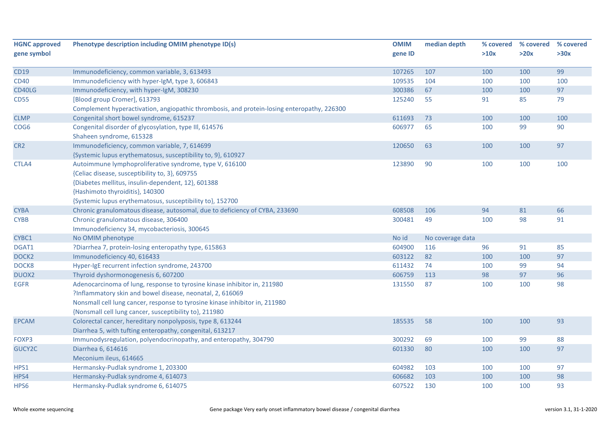| <b>HGNC approved</b> | Phenotype description including OMIM phenotype ID(s)                                       | <b>OMIM</b> | median depth     | % covered | % covered | % covered |
|----------------------|--------------------------------------------------------------------------------------------|-------------|------------------|-----------|-----------|-----------|
| gene symbol          |                                                                                            | gene ID     |                  | >10x      | >20x      | >30x      |
| <b>CD19</b>          | Immunodeficiency, common variable, 3, 613493                                               | 107265      | 107              | 100       | 100       | 99        |
| <b>CD40</b>          |                                                                                            | 109535      | 104              | 100       | 100       | 100       |
|                      | Immunodeficiency with hyper-IgM, type 3, 606843                                            |             |                  |           |           |           |
| CD40LG               | Immunodeficiency, with hyper-IgM, 308230                                                   | 300386      | 67               | 100       | 100       | 97        |
| <b>CD55</b>          | [Blood group Cromer], 613793                                                               | 125240      | 55               | 91        | 85        | 79        |
|                      | Complement hyperactivation, angiopathic thrombosis, and protein-losing enteropathy, 226300 |             |                  |           |           |           |
| <b>CLMP</b>          | Congenital short bowel syndrome, 615237                                                    | 611693      | 73               | 100       | 100       | 100       |
| COG <sub>6</sub>     | Congenital disorder of glycosylation, type III, 614576<br>Shaheen syndrome, 615328         | 606977      | 65               | 100       | 99        | 90        |
| CR <sub>2</sub>      | Immunodeficiency, common variable, 7, 614699                                               | 120650      | 63               | 100       | 100       | 97        |
|                      | {Systemic lupus erythematosus, susceptibility to, 9}, 610927                               |             |                  |           |           |           |
| CTLA4                | Autoimmune lymphoproliferative syndrome, type V, 616100                                    | 123890      | 90               | 100       | 100       | 100       |
|                      | {Celiac disease, susceptibility to, 3}, 609755                                             |             |                  |           |           |           |
|                      | {Diabetes mellitus, insulin-dependent, 12}, 601388                                         |             |                  |           |           |           |
|                      | {Hashimoto thyroiditis}, 140300                                                            |             |                  |           |           |           |
|                      | {Systemic lupus erythematosus, susceptibility to}, 152700                                  |             |                  |           |           |           |
| <b>CYBA</b>          | Chronic granulomatous disease, autosomal, due to deficiency of CYBA, 233690                | 608508      | 106              | 94        | 81        | 66        |
| <b>CYBB</b>          | Chronic granulomatous disease, 306400                                                      | 300481      | 49               | 100       | 98        | 91        |
|                      | Immunodeficiency 34, mycobacteriosis, 300645                                               |             |                  |           |           |           |
| CYBC1                | No OMIM phenotype                                                                          | No id       | No coverage data |           |           |           |
| DGAT1                | ?Diarrhea 7, protein-losing enteropathy type, 615863                                       | 604900      | 116              | 96        | 91        | 85        |
| DOCK <sub>2</sub>    | Immunodeficiency 40, 616433                                                                | 603122      | 82               | 100       | 100       | 97        |
| DOCK8                | Hyper-IgE recurrent infection syndrome, 243700                                             | 611432      | 74               | 100       | 99        | 94        |
| DUOX2                | Thyroid dyshormonogenesis 6, 607200                                                        | 606759      | 113              | 98        | 97        | 96        |
| <b>EGFR</b>          | Adenocarcinoma of lung, response to tyrosine kinase inhibitor in, 211980                   | 131550      | 87               | 100       | 100       | 98        |
|                      | ?Inflammatory skin and bowel disease, neonatal, 2, 616069                                  |             |                  |           |           |           |
|                      | Nonsmall cell lung cancer, response to tyrosine kinase inhibitor in, 211980                |             |                  |           |           |           |
|                      | {Nonsmall cell lung cancer, susceptibility to}, 211980                                     |             |                  |           |           |           |
| <b>EPCAM</b>         | Colorectal cancer, hereditary nonpolyposis, type 8, 613244                                 | 185535      | 58               | 100       | 100       | 93        |
|                      | Diarrhea 5, with tufting enteropathy, congenital, 613217                                   |             |                  |           |           |           |
| FOXP3                | Immunodysregulation, polyendocrinopathy, and enteropathy, 304790                           | 300292      | 69               | 100       | 99        | 88        |
| GUCY2C               | Diarrhea 6, 614616                                                                         | 601330      | 80               | 100       | 100       | 97        |
|                      | Meconium ileus, 614665                                                                     |             |                  |           |           |           |
| HPS1                 | Hermansky-Pudlak syndrome 1, 203300                                                        | 604982      | 103              | 100       | 100       | 97        |
| HPS4                 | Hermansky-Pudlak syndrome 4, 614073                                                        | 606682      | 103              | 100       | 100       | 98        |
| HPS6                 | Hermansky-Pudlak syndrome 6, 614075                                                        | 607522      | 130              | 100       | 100       | 93        |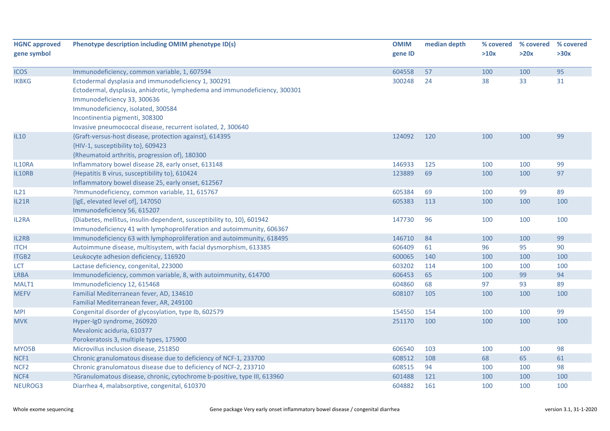| <b>HGNC approved</b> | Phenotype description including OMIM phenotype ID(s)                       | <b>OMIM</b> | median depth | % covered | % covered | % covered |
|----------------------|----------------------------------------------------------------------------|-------------|--------------|-----------|-----------|-----------|
| gene symbol          |                                                                            | gene ID     |              | >10x      | >20x      | >30x      |
|                      |                                                                            |             |              |           |           |           |
| <b>ICOS</b>          | Immunodeficiency, common variable, 1, 607594                               | 604558      | 57           | 100       | 100       | 95        |
| <b>IKBKG</b>         | Ectodermal dysplasia and immunodeficiency 1, 300291                        | 300248      | 24           | 38        | 33        | 31        |
|                      | Ectodermal, dysplasia, anhidrotic, lymphedema and immunodeficiency, 300301 |             |              |           |           |           |
|                      | Immunodeficiency 33, 300636                                                |             |              |           |           |           |
|                      | Immunodeficiency, isolated, 300584                                         |             |              |           |           |           |
|                      | Incontinentia pigmenti, 308300                                             |             |              |           |           |           |
|                      | Invasive pneumococcal disease, recurrent isolated, 2, 300640               |             |              |           |           |           |
| <b>IL10</b>          | {Graft-versus-host disease, protection against}, 614395                    | 124092      | 120          | 100       | 100       | 99        |
|                      | {HIV-1, susceptibility to}, 609423                                         |             |              |           |           |           |
|                      | {Rheumatoid arthritis, progression of}, 180300                             |             |              |           |           |           |
| IL10RA               | Inflammatory bowel disease 28, early onset, 613148                         | 146933      | 125          | 100       | 100       | 99        |
| IL10RB               | {Hepatitis B virus, susceptibility to}, 610424                             | 123889      | 69           | 100       | 100       | 97        |
|                      | Inflammatory bowel disease 25, early onset, 612567                         |             |              |           |           |           |
| IL21                 | ?Immunodeficiency, common variable, 11, 615767                             | 605384      | 69           | 100       | 99        | 89        |
| <b>IL21R</b>         | [IgE, elevated level of], 147050                                           | 605383      | 113          | 100       | 100       | 100       |
|                      | Immunodeficiency 56, 615207                                                |             |              |           |           |           |
| IL2RA                | {Diabetes, mellitus, insulin-dependent, susceptibility to, 10}, 601942     | 147730      | 96           | 100       | 100       | 100       |
|                      | Immunodeficiency 41 with lymphoproliferation and autoimmunity, 606367      |             |              |           |           |           |
| IL2RB                | Immunodeficiency 63 with lymphoproliferation and autoimmunity, 618495      | 146710      | 84           | 100       | 100       | 99        |
| <b>ITCH</b>          | Autoimmune disease, multisystem, with facial dysmorphism, 613385           | 606409      | 61           | 96        | 95        | 90        |
| <b>ITGB2</b>         | Leukocyte adhesion deficiency, 116920                                      | 600065      | 140          | 100       | 100       | 100       |
| <b>LCT</b>           | Lactase deficiency, congenital, 223000                                     | 603202      | 114          | 100       | 100       | 100       |
| <b>LRBA</b>          | Immunodeficiency, common variable, 8, with autoimmunity, 614700            | 606453      | 65           | 100       | 99        | 94        |
| MALT1                | Immunodeficiency 12, 615468                                                | 604860      | 68           | 97        | 93        | 89        |
| <b>MEFV</b>          | Familial Mediterranean fever, AD, 134610                                   | 608107      | 105          | 100       | 100       | 100       |
|                      | Familial Mediterranean fever, AR, 249100                                   |             |              |           |           |           |
| <b>MPI</b>           | Congenital disorder of glycosylation, type Ib, 602579                      | 154550      | 154          | 100       | 100       | 99        |
| <b>MVK</b>           | Hyper-IgD syndrome, 260920                                                 | 251170      | 100          | 100       | 100       | 100       |
|                      | Mevalonic aciduria, 610377                                                 |             |              |           |           |           |
|                      | Porokeratosis 3, multiple types, 175900                                    |             |              |           |           |           |
| MYO5B                | Microvillus inclusion disease, 251850                                      | 606540      | 103          | 100       | 100       | 98        |
| NCF1                 | Chronic granulomatous disease due to deficiency of NCF-1, 233700           | 608512      | 108          | 68        | 65        | 61        |
| NCF <sub>2</sub>     | Chronic granulomatous disease due to deficiency of NCF-2, 233710           | 608515      | 94           | 100       | 100       | 98        |
| NCF4                 | ?Granulomatous disease, chronic, cytochrome b-positive, type III, 613960   | 601488      | 121          | 100       | 100       | 100       |
| NEUROG3              | Diarrhea 4, malabsorptive, congenital, 610370                              | 604882      | 161          | 100       | 100       | 100       |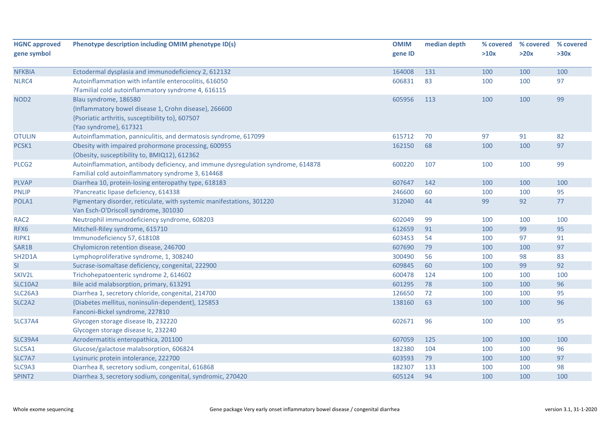| <b>HGNC approved</b>             | Phenotype description including OMIM phenotype ID(s)                             | <b>OMIM</b> | median depth | % covered | % covered | % covered |
|----------------------------------|----------------------------------------------------------------------------------|-------------|--------------|-----------|-----------|-----------|
| gene symbol                      |                                                                                  | gene ID     |              | >10x      | >20x      | >30x      |
| <b>NFKBIA</b>                    | Ectodermal dysplasia and immunodeficiency 2, 612132                              | 164008      | 131          | 100       | 100       | 100       |
| NLRC4                            | Autoinflammation with infantile enterocolitis, 616050                            | 606831      | 83           | 100       | 100       | 97        |
|                                  | ?Familial cold autoinflammatory syndrome 4, 616115                               |             |              |           |           |           |
| NOD <sub>2</sub>                 | Blau syndrome, 186580                                                            | 605956      | 113          | 100       | 100       | 99        |
|                                  | {Inflammatory bowel disease 1, Crohn disease}, 266600                            |             |              |           |           |           |
|                                  | {Psoriatic arthritis, susceptibility to}, 607507                                 |             |              |           |           |           |
|                                  | {Yao syndrome}, 617321                                                           |             |              |           |           |           |
| <b>OTULIN</b>                    | Autoinflammation, panniculitis, and dermatosis syndrome, 617099                  | 615712      | 70           | 97        | 91        | 82        |
| PCSK1                            | Obesity with impaired prohormone processing, 600955                              | 162150      | 68           | 100       | 100       | 97        |
|                                  | {Obesity, susceptibility to, BMIQ12}, 612362                                     |             |              |           |           |           |
| PLCG <sub>2</sub>                | Autoinflammation, antibody deficiency, and immune dysregulation syndrome, 614878 | 600220      | 107          | 100       | 100       | 99        |
|                                  | Familial cold autoinflammatory syndrome 3, 614468                                |             |              |           |           |           |
| <b>PLVAP</b>                     | Diarrhea 10, protein-losing enteropathy type, 618183                             | 607647      | 142          | 100       | 100       | 100       |
| <b>PNLIP</b>                     | ?Pancreatic lipase deficiency, 614338                                            | 246600      | 60           | 100       | 100       | 95        |
| POLA1                            | Pigmentary disorder, reticulate, with systemic manifestations, 301220            | 312040      | 44           | 99        | 92        | 77        |
|                                  | Van Esch-O'Driscoll syndrome, 301030                                             |             |              |           |           |           |
| RAC <sub>2</sub>                 | Neutrophil immunodeficiency syndrome, 608203                                     | 602049      | 99           | 100       | 100       | 100       |
| RFX6                             | Mitchell-Riley syndrome, 615710                                                  | 612659      | 91           | 100       | 99        | 95        |
| RIPK1                            | Immunodeficiency 57, 618108                                                      | 603453      | 54           | 100       | 97        | 91        |
| SAR1B                            | Chylomicron retention disease, 246700                                            | 607690      | 79           | 100       | 100       | 97        |
| SH <sub>2</sub> D <sub>1</sub> A | Lymphoproliferative syndrome, 1, 308240                                          | 300490      | 56           | 100       | 98        | 83        |
| SI                               | Sucrase-isomaltase deficiency, congenital, 222900                                | 609845      | 60           | 100       | 99        | 92        |
| SKIV2L                           | Trichohepatoenteric syndrome 2, 614602                                           | 600478      | 124          | 100       | 100       | 100       |
| <b>SLC10A2</b>                   | Bile acid malabsorption, primary, 613291                                         | 601295      | 78           | 100       | 100       | 96        |
| <b>SLC26A3</b>                   | Diarrhea 1, secretory chloride, congenital, 214700                               | 126650      | 72           | 100       | 100       | 95        |
| SLC <sub>2</sub> A <sub>2</sub>  | {Diabetes mellitus, noninsulin-dependent}, 125853                                | 138160      | 63           | 100       | 100       | 96        |
|                                  | Fanconi-Bickel syndrome, 227810                                                  |             |              |           |           |           |
| <b>SLC37A4</b>                   | Glycogen storage disease Ib, 232220                                              | 602671      | 96           | 100       | 100       | 95        |
|                                  | Glycogen storage disease Ic, 232240                                              |             |              |           |           |           |
| <b>SLC39A4</b>                   | Acrodermatitis enteropathica, 201100                                             | 607059      | 125          | 100       | 100       | 100       |
| SLC5A1                           | Glucose/galactose malabsorption, 606824                                          | 182380      | 104          | 100       | 100       | 96        |
| SLC7A7                           | Lysinuric protein intolerance, 222700                                            | 603593      | 79           | 100       | 100       | 97        |
| SLC9A3                           | Diarrhea 8, secretory sodium, congenital, 616868                                 | 182307      | 133          | 100       | 100       | 98        |
| SPINT2                           | Diarrhea 3, secretory sodium, congenital, syndromic, 270420                      | 605124      | 94           | 100       | 100       | 100       |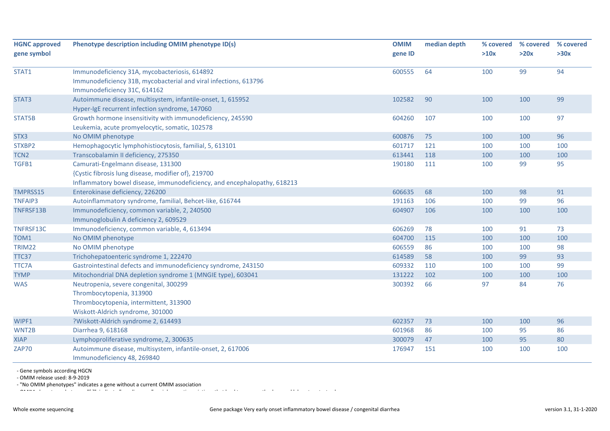| <b>HGNC approved</b> | Phenotype description including OMIM phenotype ID(s)                                                                                                                  |         | median depth | % covered | % covered | % covered |
|----------------------|-----------------------------------------------------------------------------------------------------------------------------------------------------------------------|---------|--------------|-----------|-----------|-----------|
| gene symbol          |                                                                                                                                                                       | gene ID |              | >10x      | >20x      | >30x      |
| STAT1                | Immunodeficiency 31A, mycobacteriosis, 614892<br>Immunodeficiency 31B, mycobacterial and viral infections, 613796<br>Immunodeficiency 31C, 614162                     | 600555  | 64           | 100       | 99        | 94        |
| STAT3                | Autoimmune disease, multisystem, infantile-onset, 1, 615952<br>Hyper-IgE recurrent infection syndrome, 147060                                                         | 102582  | 90           | 100       | 100       | 99        |
| STAT5B               | Growth hormone insensitivity with immunodeficiency, 245590<br>Leukemia, acute promyelocytic, somatic, 102578                                                          | 604260  | 107          | 100       | 100       | 97        |
| STX3                 | No OMIM phenotype                                                                                                                                                     | 600876  | 75           | 100       | 100       | 96        |
| STXBP2               | Hemophagocytic lymphohistiocytosis, familial, 5, 613101                                                                                                               | 601717  | 121          | 100       | 100       | 100       |
| TCN <sub>2</sub>     | Transcobalamin II deficiency, 275350                                                                                                                                  | 613441  | 118          | 100       | 100       | 100       |
| TGFB1                | Camurati-Engelmann disease, 131300<br>{Cystic fibrosis lung disease, modifier of}, 219700<br>Inflammatory bowel disease, immunodeficiency, and encephalopathy, 618213 | 190180  | 111          | 100       | 99        | 95        |
| TMPRSS15             | Enterokinase deficiency, 226200                                                                                                                                       | 606635  | 68           | 100       | 98        | 91        |
| <b>TNFAIP3</b>       | Autoinflammatory syndrome, familial, Behcet-like, 616744                                                                                                              | 191163  | 106          | 100       | 99        | 96        |
| TNFRSF13B            | Immunodeficiency, common variable, 2, 240500<br>Immunoglobulin A deficiency 2, 609529                                                                                 | 604907  | 106          | 100       | 100       | 100       |
| TNFRSF13C            | Immunodeficiency, common variable, 4, 613494                                                                                                                          | 606269  | 78           | 100       | 91        | 73        |
| TOM1                 | No OMIM phenotype                                                                                                                                                     | 604700  | 115          | 100       | 100       | 100       |
| TRIM22               | No OMIM phenotype                                                                                                                                                     | 606559  | 86           | 100       | 100       | 98        |
| TTC37                | Trichohepatoenteric syndrome 1, 222470                                                                                                                                | 614589  | 58           | 100       | 99        | 93        |
| TTC7A                | Gastrointestinal defects and immunodeficiency syndrome, 243150                                                                                                        | 609332  | 110          | 100       | 100       | 99        |
| <b>TYMP</b>          | Mitochondrial DNA depletion syndrome 1 (MNGIE type), 603041                                                                                                           | 131222  | 102          | 100       | 100       | 100       |
| <b>WAS</b>           | Neutropenia, severe congenital, 300299<br>Thrombocytopenia, 313900<br>Thrombocytopenia, intermittent, 313900<br>Wiskott-Aldrich syndrome, 301000                      | 300392  | 66           | 97        | 84        | 76        |
| WIPF1                | ?Wiskott-Aldrich syndrome 2, 614493                                                                                                                                   | 602357  | 73           | 100       | 100       | 96        |
| WNT2B                | Diarrhea 9, 618168                                                                                                                                                    | 601968  | 86           | 100       | 95        | 86        |
| <b>XIAP</b>          | Lymphoproliferative syndrome, 2, 300635                                                                                                                               | 300079  | 47           | 100       | 95        | 80        |
| ZAP70                | Autoimmune disease, multisystem, infantile-onset, 2, 617006<br>Immunodeficiency 48, 269840                                                                            | 176947  | 151          | 100       | 100       | 100       |

- Gene symbols according HGCN

- OMIM release used: 8-9-2019

- "No OMIM phenotypes" indicates a gene without a current OMIM association

OMIM H t b t b t "l " i di ti i di " i di " i di " i di " i di " di " i l b t t t t t t t t t t t t t t t t t<br>.